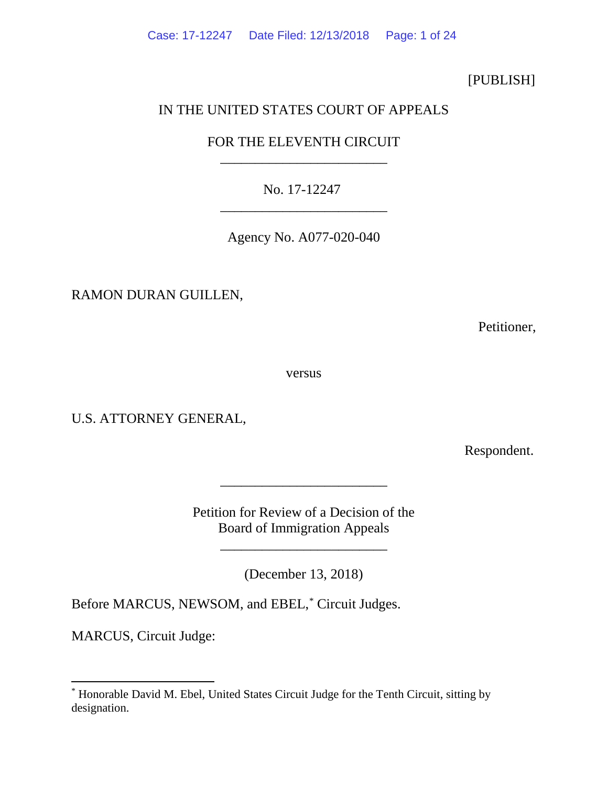Case: 17-12247 Date Filed: 12/13/2018 Page: 1 of 24

# [PUBLISH]

# IN THE UNITED STATES COURT OF APPEALS

# FOR THE ELEVENTH CIRCUIT \_\_\_\_\_\_\_\_\_\_\_\_\_\_\_\_\_\_\_\_\_\_\_\_

No. 17-12247 \_\_\_\_\_\_\_\_\_\_\_\_\_\_\_\_\_\_\_\_\_\_\_\_

Agency No. A077-020-040

RAMON DURAN GUILLEN,

Petitioner,

versus

U.S. ATTORNEY GENERAL,

Respondent.

Petition for Review of a Decision of the Board of Immigration Appeals

\_\_\_\_\_\_\_\_\_\_\_\_\_\_\_\_\_\_\_\_\_\_\_\_

\_\_\_\_\_\_\_\_\_\_\_\_\_\_\_\_\_\_\_\_\_\_\_\_

(December 13, 2018)

Before MARCUS, NEWSOM, and EBEL, [\\*](#page-0-0) Circuit Judges.

MARCUS, Circuit Judge:

<span id="page-0-0"></span> <sup>\*</sup> Honorable David M. Ebel, United States Circuit Judge for the Tenth Circuit, sitting by designation.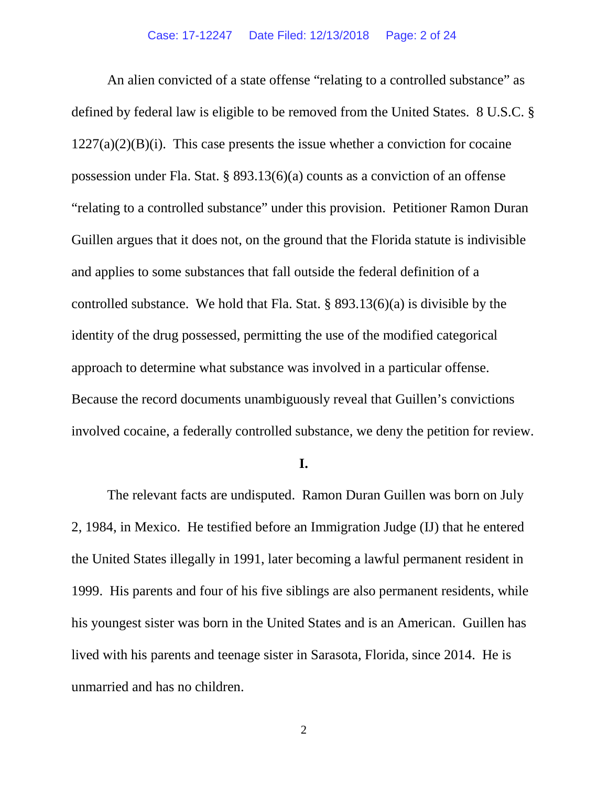An alien convicted of a state offense "relating to a controlled substance" as defined by federal law is eligible to be removed from the United States. 8 U.S.C. §  $1227(a)(2)(B)(i)$ . This case presents the issue whether a conviction for cocaine possession under Fla. Stat. § 893.13(6)(a) counts as a conviction of an offense "relating to a controlled substance" under this provision. Petitioner Ramon Duran Guillen argues that it does not, on the ground that the Florida statute is indivisible and applies to some substances that fall outside the federal definition of a controlled substance. We hold that Fla. Stat. § 893.13(6)(a) is divisible by the identity of the drug possessed, permitting the use of the modified categorical approach to determine what substance was involved in a particular offense. Because the record documents unambiguously reveal that Guillen's convictions involved cocaine, a federally controlled substance, we deny the petition for review.

# **I.**

The relevant facts are undisputed. Ramon Duran Guillen was born on July 2, 1984, in Mexico. He testified before an Immigration Judge (IJ) that he entered the United States illegally in 1991, later becoming a lawful permanent resident in 1999. His parents and four of his five siblings are also permanent residents, while his youngest sister was born in the United States and is an American. Guillen has lived with his parents and teenage sister in Sarasota, Florida, since 2014. He is unmarried and has no children.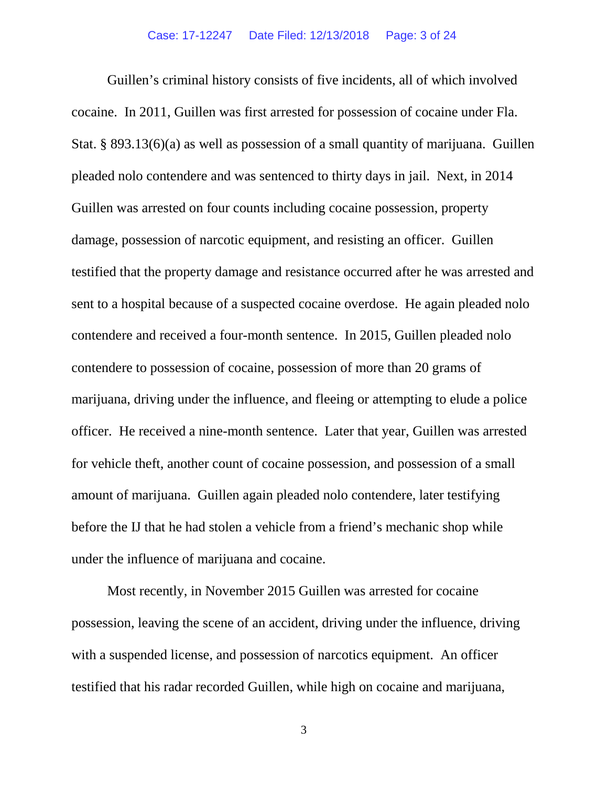Guillen's criminal history consists of five incidents, all of which involved cocaine. In 2011, Guillen was first arrested for possession of cocaine under Fla. Stat. § 893.13(6)(a) as well as possession of a small quantity of marijuana. Guillen pleaded nolo contendere and was sentenced to thirty days in jail. Next, in 2014 Guillen was arrested on four counts including cocaine possession, property damage, possession of narcotic equipment, and resisting an officer. Guillen testified that the property damage and resistance occurred after he was arrested and sent to a hospital because of a suspected cocaine overdose. He again pleaded nolo contendere and received a four-month sentence. In 2015, Guillen pleaded nolo contendere to possession of cocaine, possession of more than 20 grams of marijuana, driving under the influence, and fleeing or attempting to elude a police officer. He received a nine-month sentence. Later that year, Guillen was arrested for vehicle theft, another count of cocaine possession, and possession of a small amount of marijuana. Guillen again pleaded nolo contendere, later testifying before the IJ that he had stolen a vehicle from a friend's mechanic shop while under the influence of marijuana and cocaine.

Most recently, in November 2015 Guillen was arrested for cocaine possession, leaving the scene of an accident, driving under the influence, driving with a suspended license, and possession of narcotics equipment. An officer testified that his radar recorded Guillen, while high on cocaine and marijuana,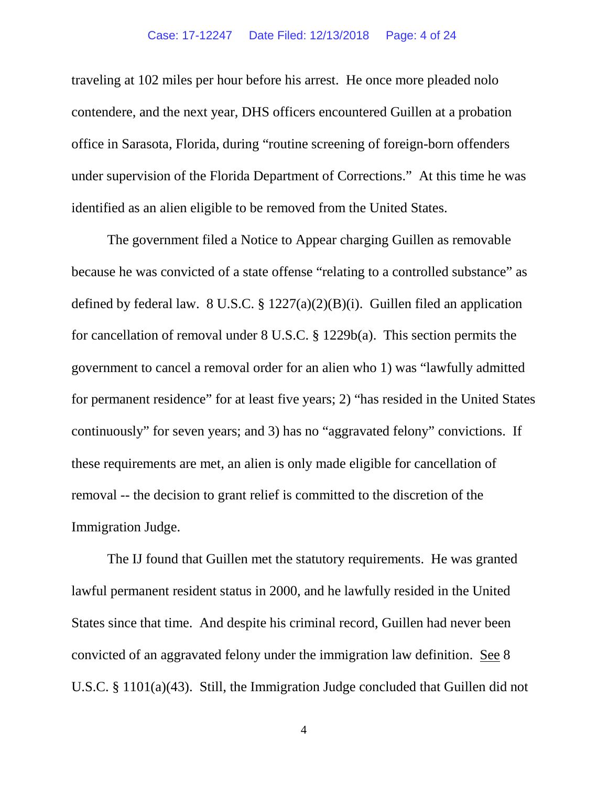traveling at 102 miles per hour before his arrest. He once more pleaded nolo contendere, and the next year, DHS officers encountered Guillen at a probation office in Sarasota, Florida, during "routine screening of foreign-born offenders under supervision of the Florida Department of Corrections." At this time he was identified as an alien eligible to be removed from the United States.

The government filed a Notice to Appear charging Guillen as removable because he was convicted of a state offense "relating to a controlled substance" as defined by federal law. 8 U.S.C. § 1227(a)(2)(B)(i). Guillen filed an application for cancellation of removal under 8 U.S.C. § 1229b(a). This section permits the government to cancel a removal order for an alien who 1) was "lawfully admitted for permanent residence" for at least five years; 2) "has resided in the United States continuously" for seven years; and 3) has no "aggravated felony" convictions. If these requirements are met, an alien is only made eligible for cancellation of removal -- the decision to grant relief is committed to the discretion of the Immigration Judge.

The IJ found that Guillen met the statutory requirements. He was granted lawful permanent resident status in 2000, and he lawfully resided in the United States since that time. And despite his criminal record, Guillen had never been convicted of an aggravated felony under the immigration law definition. See 8 U.S.C. § 1101(a)(43). Still, the Immigration Judge concluded that Guillen did not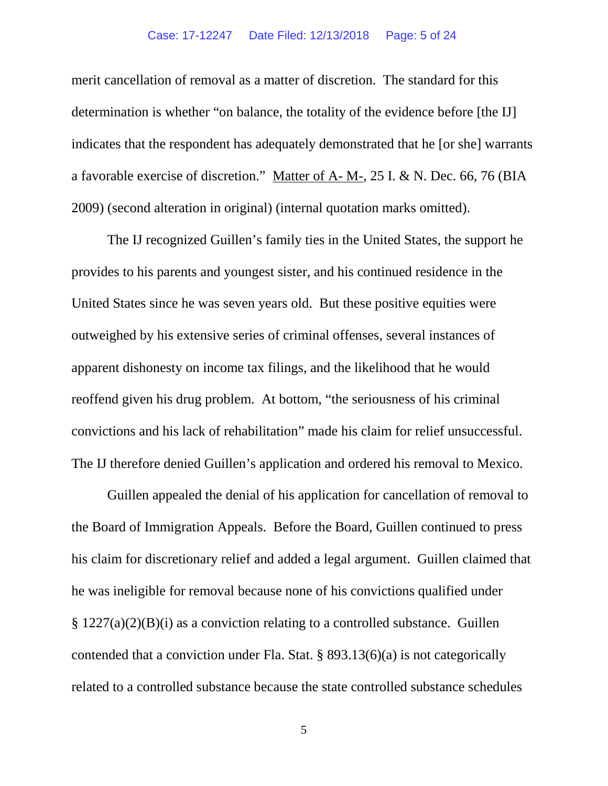# Case: 17-12247 Date Filed: 12/13/2018 Page: 5 of 24

merit cancellation of removal as a matter of discretion. The standard for this determination is whether "on balance, the totality of the evidence before [the IJ] indicates that the respondent has adequately demonstrated that he [or she] warrants a favorable exercise of discretion." Matter of A- M-, 25 I. & N. Dec. 66, 76 (BIA 2009) (second alteration in original) (internal quotation marks omitted).

The IJ recognized Guillen's family ties in the United States, the support he provides to his parents and youngest sister, and his continued residence in the United States since he was seven years old. But these positive equities were outweighed by his extensive series of criminal offenses, several instances of apparent dishonesty on income tax filings, and the likelihood that he would reoffend given his drug problem. At bottom, "the seriousness of his criminal convictions and his lack of rehabilitation" made his claim for relief unsuccessful. The IJ therefore denied Guillen's application and ordered his removal to Mexico.

Guillen appealed the denial of his application for cancellation of removal to the Board of Immigration Appeals. Before the Board, Guillen continued to press his claim for discretionary relief and added a legal argument. Guillen claimed that he was ineligible for removal because none of his convictions qualified under § 1227(a)(2)(B)(i) as a conviction relating to a controlled substance. Guillen contended that a conviction under Fla. Stat. § 893.13(6)(a) is not categorically related to a controlled substance because the state controlled substance schedules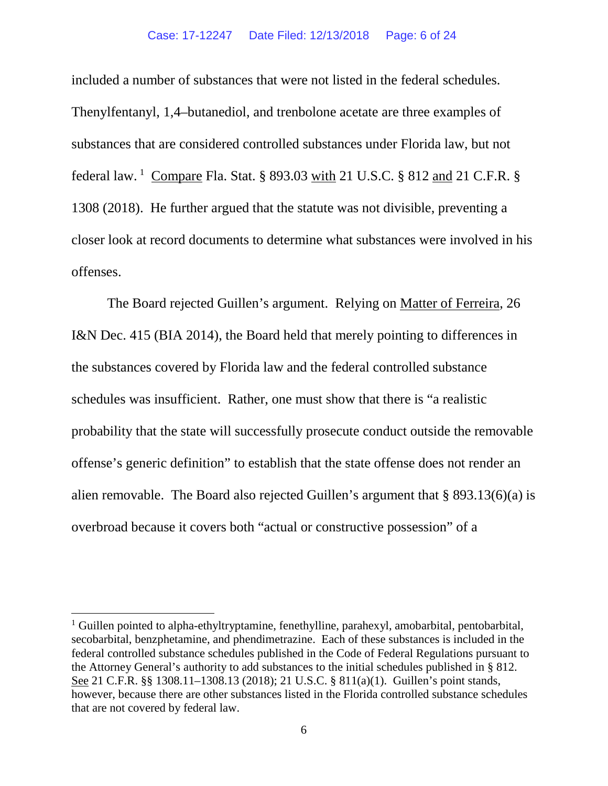#### Case: 17-12247 Date Filed: 12/13/2018 Page: 6 of 24

included a number of substances that were not listed in the federal schedules. Thenylfentanyl, 1,4–butanediol, and trenbolone acetate are three examples of substances that are considered controlled substances under Florida law, but not federal law. <sup>[1](#page-5-0)</sup> Compare Fla. Stat. § 893.03 with 21 U.S.C. § 812 and 21 C.F.R. § 1308 (2018). He further argued that the statute was not divisible, preventing a closer look at record documents to determine what substances were involved in his offenses.

The Board rejected Guillen's argument. Relying on Matter of Ferreira, 26 I&N Dec. 415 (BIA 2014), the Board held that merely pointing to differences in the substances covered by Florida law and the federal controlled substance schedules was insufficient. Rather, one must show that there is "a realistic probability that the state will successfully prosecute conduct outside the removable offense's generic definition" to establish that the state offense does not render an alien removable. The Board also rejected Guillen's argument that  $\S 893.13(6)(a)$  is overbroad because it covers both "actual or constructive possession" of a

<span id="page-5-0"></span><sup>&</sup>lt;sup>1</sup> Guillen pointed to alpha-ethyltryptamine, fenethylline, parahexyl, amobarbital, pentobarbital, secobarbital, benzphetamine, and phendimetrazine. Each of these substances is included in the federal controlled substance schedules published in the Code of Federal Regulations pursuant to the Attorney General's authority to add substances to the initial schedules published in § 812. See 21 C.F.R. §§ 1308.11–1308.13 (2018); 21 U.S.C. § 811(a)(1). Guillen's point stands, however, because there are other substances listed in the Florida controlled substance schedules that are not covered by federal law.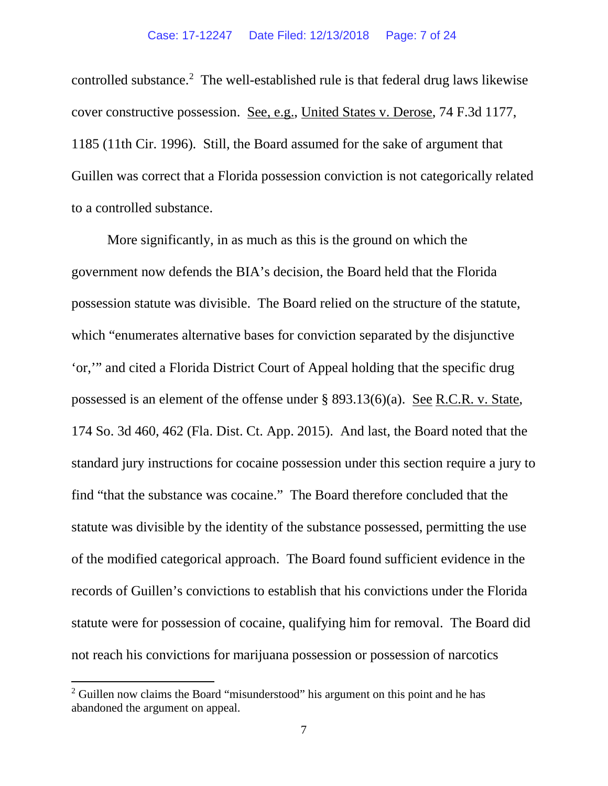controlled substance.<sup>[2](#page-6-0)</sup> The well-established rule is that federal drug laws likewise cover constructive possession. See, e.g., United States v. Derose, 74 F.3d 1177, 1185 (11th Cir. 1996). Still, the Board assumed for the sake of argument that Guillen was correct that a Florida possession conviction is not categorically related to a controlled substance.

More significantly, in as much as this is the ground on which the government now defends the BIA's decision, the Board held that the Florida possession statute was divisible. The Board relied on the structure of the statute, which "enumerates alternative bases for conviction separated by the disjunctive 'or,'" and cited a Florida District Court of Appeal holding that the specific drug possessed is an element of the offense under § 893.13(6)(a). See R.C.R. v. State, 174 So. 3d 460, 462 (Fla. Dist. Ct. App. 2015). And last, the Board noted that the standard jury instructions for cocaine possession under this section require a jury to find "that the substance was cocaine." The Board therefore concluded that the statute was divisible by the identity of the substance possessed, permitting the use of the modified categorical approach. The Board found sufficient evidence in the records of Guillen's convictions to establish that his convictions under the Florida statute were for possession of cocaine, qualifying him for removal. The Board did not reach his convictions for marijuana possession or possession of narcotics

<span id="page-6-0"></span><sup>&</sup>lt;sup>2</sup> Guillen now claims the Board "misunderstood" his argument on this point and he has abandoned the argument on appeal.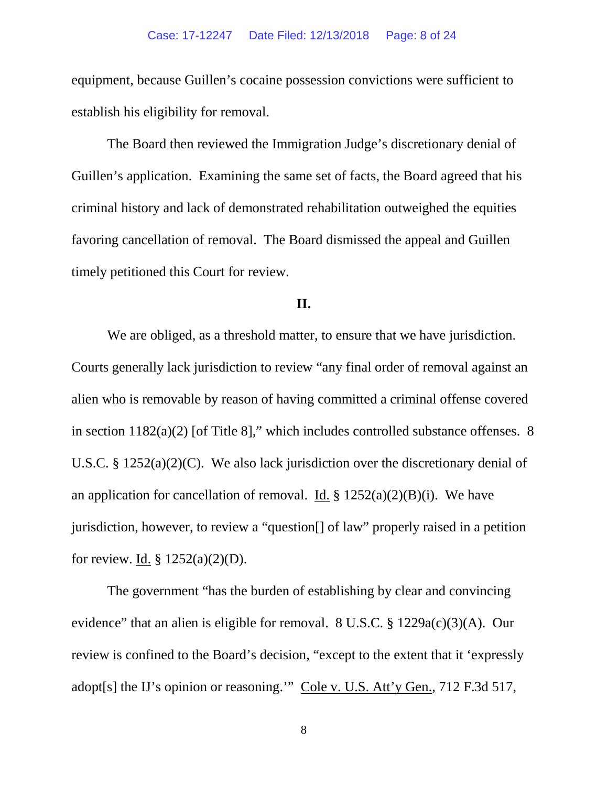equipment, because Guillen's cocaine possession convictions were sufficient to establish his eligibility for removal.

The Board then reviewed the Immigration Judge's discretionary denial of Guillen's application. Examining the same set of facts, the Board agreed that his criminal history and lack of demonstrated rehabilitation outweighed the equities favoring cancellation of removal. The Board dismissed the appeal and Guillen timely petitioned this Court for review.

# **II.**

We are obliged, as a threshold matter, to ensure that we have jurisdiction. Courts generally lack jurisdiction to review "any final order of removal against an alien who is removable by reason of having committed a criminal offense covered in section 1182(a)(2) [of Title 8]," which includes controlled substance offenses. 8 U.S.C. § 1252(a)(2)(C). We also lack jurisdiction over the discretionary denial of an application for cancellation of removal. <u>Id.</u> §  $1252(a)(2)(B)(i)$ . We have jurisdiction, however, to review a "question[] of law" properly raised in a petition for review. Id. § 1252(a)(2)(D).

The government "has the burden of establishing by clear and convincing evidence" that an alien is eligible for removal. 8 U.S.C. § 1229a(c)(3)(A). Our review is confined to the Board's decision, "except to the extent that it 'expressly adopt[s] the IJ's opinion or reasoning.'" Cole v. U.S. Att'y Gen., 712 F.3d 517,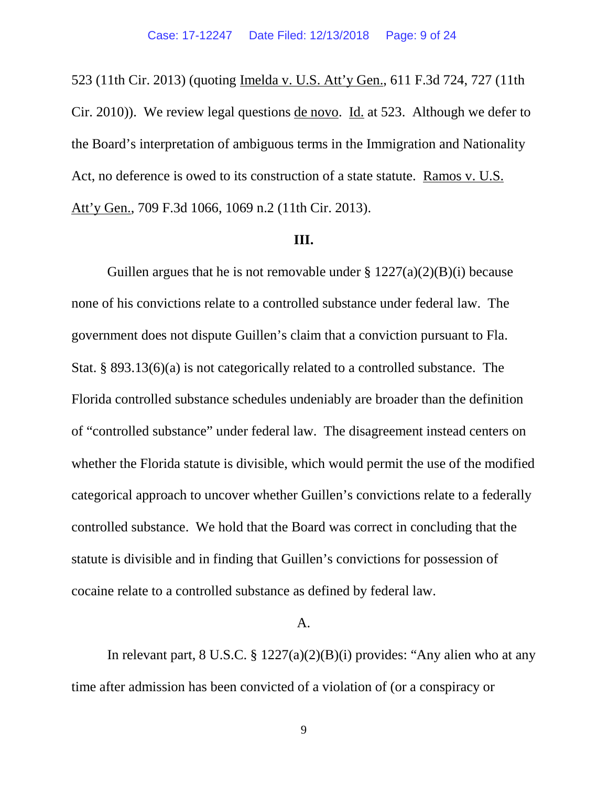523 (11th Cir. 2013) (quoting Imelda v. U.S. Att'y Gen., 611 F.3d 724, 727 (11th Cir. 2010)). We review legal questions de novo. Id. at 523. Although we defer to the Board's interpretation of ambiguous terms in the Immigration and Nationality Act, no deference is owed to its construction of a state statute. Ramos v. U.S. Att'y Gen., 709 F.3d 1066, 1069 n.2 (11th Cir. 2013).

#### **III.**

Guillen argues that he is not removable under  $\S 1227(a)(2)(B)(i)$  because none of his convictions relate to a controlled substance under federal law. The government does not dispute Guillen's claim that a conviction pursuant to Fla. Stat. § 893.13(6)(a) is not categorically related to a controlled substance. The Florida controlled substance schedules undeniably are broader than the definition of "controlled substance" under federal law. The disagreement instead centers on whether the Florida statute is divisible, which would permit the use of the modified categorical approach to uncover whether Guillen's convictions relate to a federally controlled substance. We hold that the Board was correct in concluding that the statute is divisible and in finding that Guillen's convictions for possession of cocaine relate to a controlled substance as defined by federal law.

# A.

In relevant part,  $8 \text{ U.S.C.} \$  $\frac{3}{227(a)(2)(B)(i)}$  provides: "Any alien who at any time after admission has been convicted of a violation of (or a conspiracy or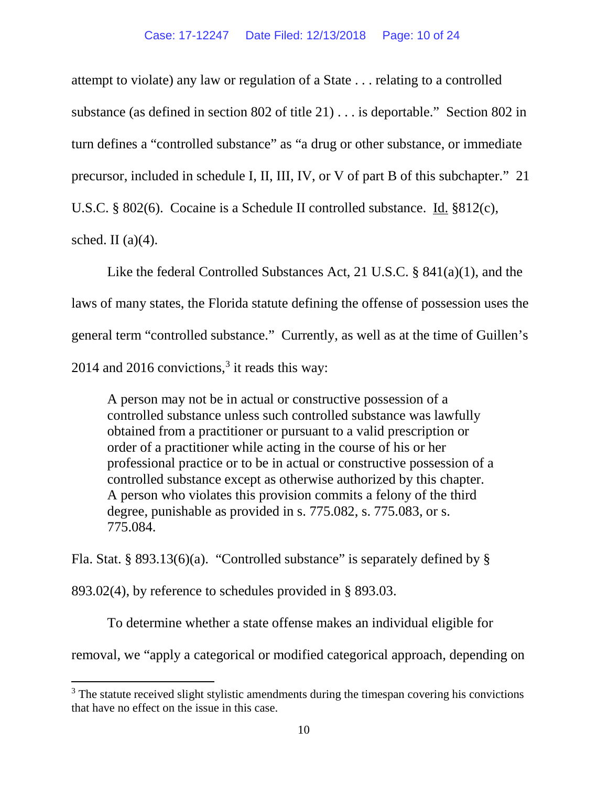attempt to violate) any law or regulation of a State . . . relating to a controlled substance (as defined in section 802 of title 21) . . . is deportable." Section 802 in turn defines a "controlled substance" as "a drug or other substance, or immediate precursor, included in schedule I, II, III, IV, or V of part B of this subchapter." 21 U.S.C. § 802(6). Cocaine is a Schedule II controlled substance. Id. §812(c), sched. II  $(a)(4)$ .

Like the federal Controlled Substances Act, 21 U.S.C. § 841(a)(1), and the laws of many states, the Florida statute defining the offense of possession uses the general term "controlled substance." Currently, as well as at the time of Guillen's 2014 and 2016 convictions,  $3$  it reads this way:

A person may not be in actual or constructive possession of a controlled substance unless such controlled substance was lawfully obtained from a practitioner or pursuant to a valid prescription or order of a practitioner while acting in the course of his or her professional practice or to be in actual or constructive possession of a controlled substance except as otherwise authorized by this chapter. A person who violates this provision commits a felony of the third degree, punishable as provided in s. 775.082, s. 775.083, or s. 775.084.

Fla. Stat. § 893.13(6)(a). "Controlled substance" is separately defined by §

893.02(4), by reference to schedules provided in § 893.03.

To determine whether a state offense makes an individual eligible for removal, we "apply a categorical or modified categorical approach, depending on

<span id="page-9-0"></span><sup>&</sup>lt;sup>3</sup> The statute received slight stylistic amendments during the timespan covering his convictions that have no effect on the issue in this case.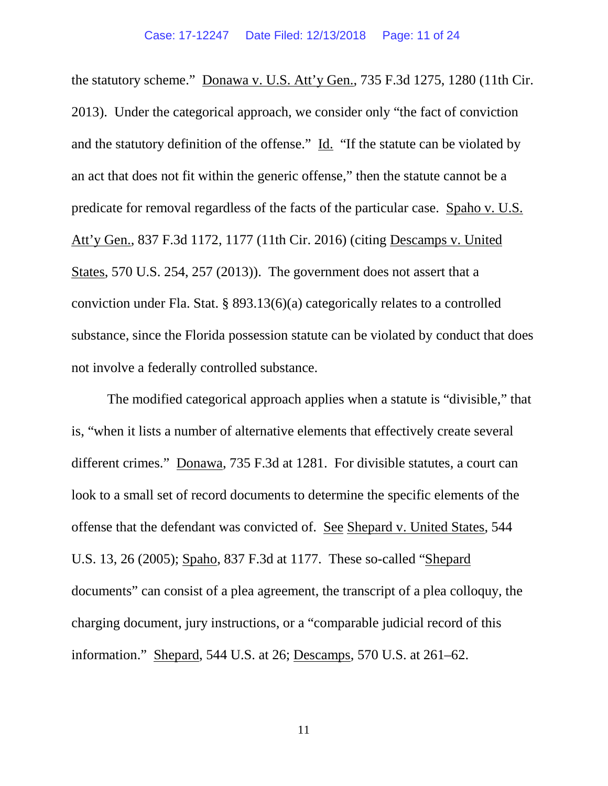the statutory scheme." Donawa v. U.S. Att'y Gen., 735 F.3d 1275, 1280 (11th Cir. 2013). Under the categorical approach, we consider only "the fact of conviction and the statutory definition of the offense." Id. "If the statute can be violated by an act that does not fit within the generic offense," then the statute cannot be a predicate for removal regardless of the facts of the particular case. Spaho v. U.S. Att'y Gen., 837 F.3d 1172, 1177 (11th Cir. 2016) (citing Descamps v. United States, 570 U.S. 254, 257 (2013)). The government does not assert that a conviction under Fla. Stat. § 893.13(6)(a) categorically relates to a controlled substance, since the Florida possession statute can be violated by conduct that does not involve a federally controlled substance.

The modified categorical approach applies when a statute is "divisible," that is, "when it lists a number of alternative elements that effectively create several different crimes." Donawa, 735 F.3d at 1281. For divisible statutes, a court can look to a small set of record documents to determine the specific elements of the offense that the defendant was convicted of. See Shepard v. United States, 544 U.S. 13, 26 (2005); Spaho, 837 F.3d at 1177. These so-called "Shepard documents" can consist of a plea agreement, the transcript of a plea colloquy, the charging document, jury instructions, or a "comparable judicial record of this information." Shepard, 544 U.S. at 26; Descamps, 570 U.S. at 261–62.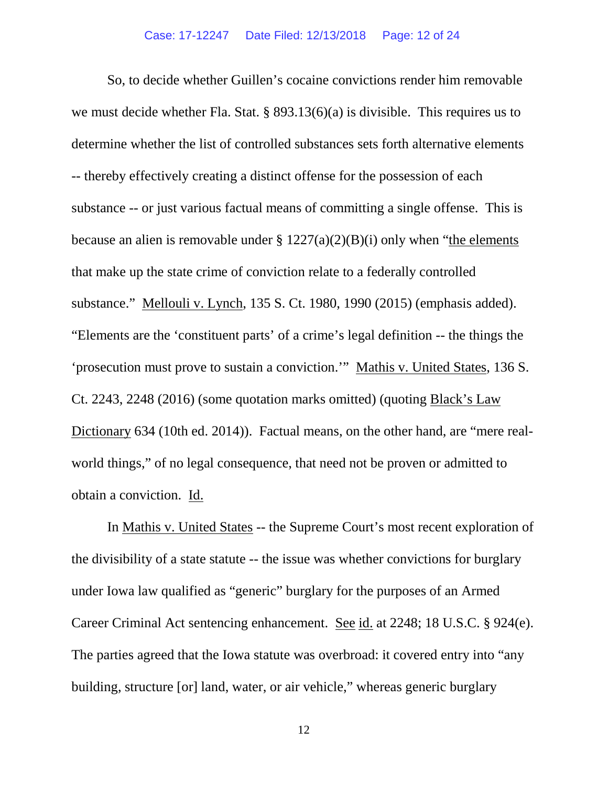So, to decide whether Guillen's cocaine convictions render him removable we must decide whether Fla. Stat. § 893.13(6)(a) is divisible. This requires us to determine whether the list of controlled substances sets forth alternative elements -- thereby effectively creating a distinct offense for the possession of each substance -- or just various factual means of committing a single offense. This is because an alien is removable under  $\S 1227(a)(2)(B)(i)$  only when "the elements" that make up the state crime of conviction relate to a federally controlled substance." Mellouli v. Lynch, 135 S. Ct. 1980, 1990 (2015) (emphasis added). "Elements are the 'constituent parts' of a crime's legal definition -- the things the 'prosecution must prove to sustain a conviction.'" Mathis v. United States, 136 S. Ct. 2243, 2248 (2016) (some quotation marks omitted) (quoting Black's Law Dictionary 634 (10th ed. 2014)). Factual means, on the other hand, are "mere realworld things," of no legal consequence, that need not be proven or admitted to obtain a conviction. Id.

In Mathis v. United States -- the Supreme Court's most recent exploration of the divisibility of a state statute -- the issue was whether convictions for burglary under Iowa law qualified as "generic" burglary for the purposes of an Armed Career Criminal Act sentencing enhancement. See id. at 2248; 18 U.S.C. § 924(e). The parties agreed that the Iowa statute was overbroad: it covered entry into "any building, structure [or] land, water, or air vehicle," whereas generic burglary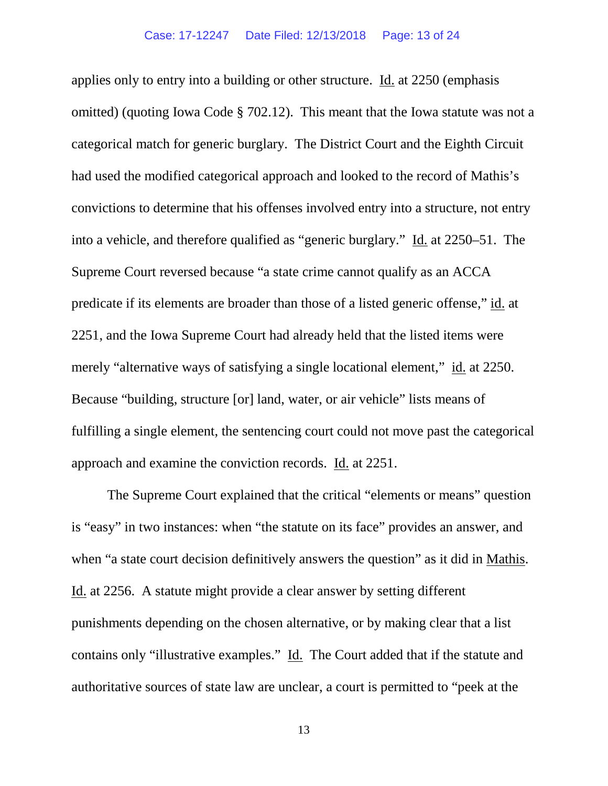applies only to entry into a building or other structure. Id. at 2250 (emphasis omitted) (quoting Iowa Code § 702.12). This meant that the Iowa statute was not a categorical match for generic burglary. The District Court and the Eighth Circuit had used the modified categorical approach and looked to the record of Mathis's convictions to determine that his offenses involved entry into a structure, not entry into a vehicle, and therefore qualified as "generic burglary." Id. at 2250–51. The Supreme Court reversed because "a state crime cannot qualify as an ACCA predicate if its elements are broader than those of a listed generic offense," id. at 2251, and the Iowa Supreme Court had already held that the listed items were merely "alternative ways of satisfying a single locational element," id. at 2250. Because "building, structure [or] land, water, or air vehicle" lists means of fulfilling a single element, the sentencing court could not move past the categorical approach and examine the conviction records. Id. at 2251.

The Supreme Court explained that the critical "elements or means" question is "easy" in two instances: when "the statute on its face" provides an answer, and when "a state court decision definitively answers the question" as it did in Mathis. Id. at 2256. A statute might provide a clear answer by setting different punishments depending on the chosen alternative, or by making clear that a list contains only "illustrative examples." Id. The Court added that if the statute and authoritative sources of state law are unclear, a court is permitted to "peek at the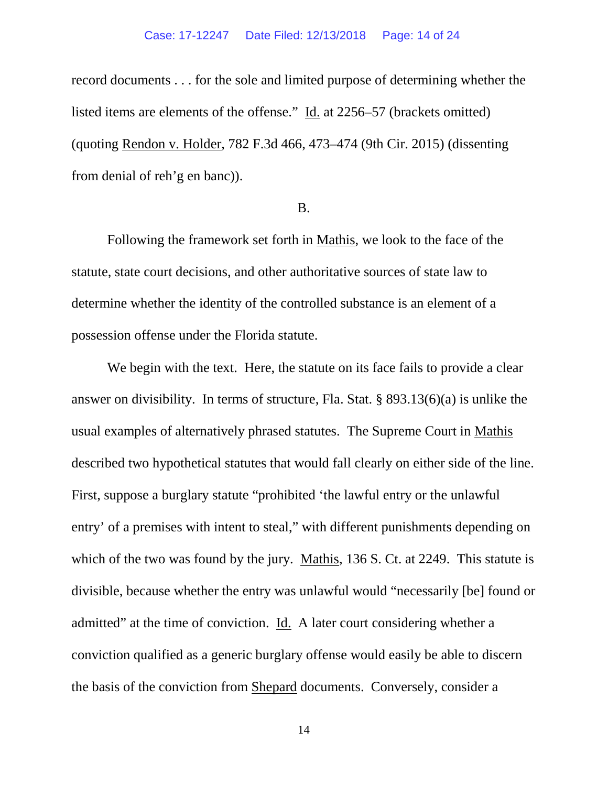record documents . . . for the sole and limited purpose of determining whether the listed items are elements of the offense." Id. at 2256–57 (brackets omitted) (quoting Rendon v. Holder, 782 F.3d 466, 473–474 (9th Cir. 2015) (dissenting from denial of reh'g en banc)).

# B.

Following the framework set forth in Mathis, we look to the face of the statute, state court decisions, and other authoritative sources of state law to determine whether the identity of the controlled substance is an element of a possession offense under the Florida statute.

We begin with the text. Here, the statute on its face fails to provide a clear answer on divisibility. In terms of structure, Fla. Stat. § 893.13(6)(a) is unlike the usual examples of alternatively phrased statutes. The Supreme Court in Mathis described two hypothetical statutes that would fall clearly on either side of the line. First, suppose a burglary statute "prohibited 'the lawful entry or the unlawful entry' of a premises with intent to steal," with different punishments depending on which of the two was found by the jury. Mathis, 136 S. Ct. at 2249. This statute is divisible, because whether the entry was unlawful would "necessarily [be] found or admitted" at the time of conviction. Id. A later court considering whether a conviction qualified as a generic burglary offense would easily be able to discern the basis of the conviction from Shepard documents. Conversely, consider a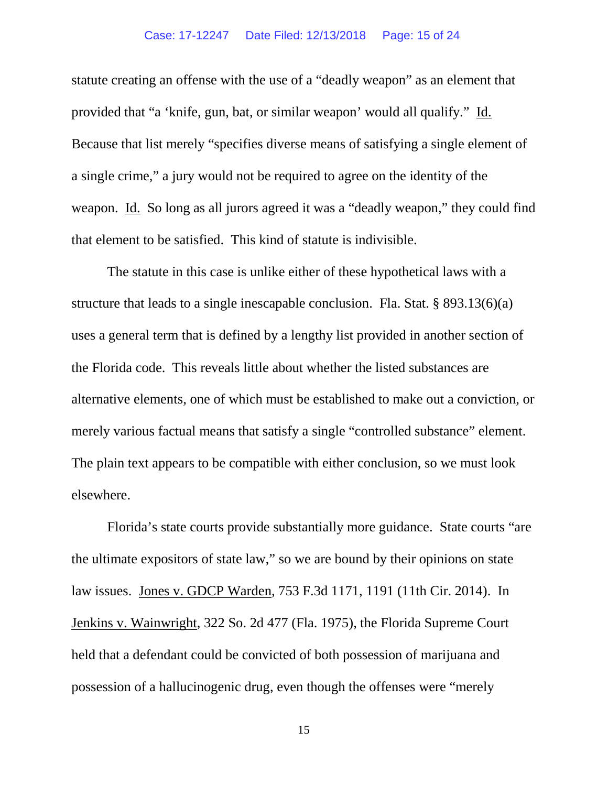# Case: 17-12247 Date Filed: 12/13/2018 Page: 15 of 24

statute creating an offense with the use of a "deadly weapon" as an element that provided that "a 'knife, gun, bat, or similar weapon' would all qualify." Id. Because that list merely "specifies diverse means of satisfying a single element of a single crime," a jury would not be required to agree on the identity of the weapon. Id. So long as all jurors agreed it was a "deadly weapon," they could find that element to be satisfied. This kind of statute is indivisible.

The statute in this case is unlike either of these hypothetical laws with a structure that leads to a single inescapable conclusion. Fla. Stat. § 893.13(6)(a) uses a general term that is defined by a lengthy list provided in another section of the Florida code. This reveals little about whether the listed substances are alternative elements, one of which must be established to make out a conviction, or merely various factual means that satisfy a single "controlled substance" element. The plain text appears to be compatible with either conclusion, so we must look elsewhere.

Florida's state courts provide substantially more guidance. State courts "are the ultimate expositors of state law," so we are bound by their opinions on state law issues. Jones v. GDCP Warden, 753 F.3d 1171, 1191 (11th Cir. 2014). In Jenkins v. Wainwright, 322 So. 2d 477 (Fla. 1975), the Florida Supreme Court held that a defendant could be convicted of both possession of marijuana and possession of a hallucinogenic drug, even though the offenses were "merely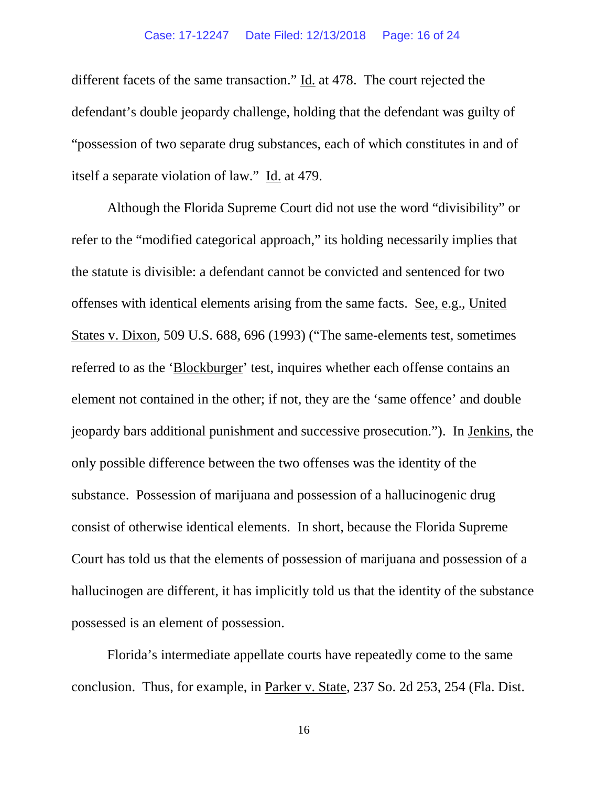# Case: 17-12247 Date Filed: 12/13/2018 Page: 16 of 24

different facets of the same transaction." Id. at 478. The court rejected the defendant's double jeopardy challenge, holding that the defendant was guilty of "possession of two separate drug substances, each of which constitutes in and of itself a separate violation of law." Id. at 479.

Although the Florida Supreme Court did not use the word "divisibility" or refer to the "modified categorical approach," its holding necessarily implies that the statute is divisible: a defendant cannot be convicted and sentenced for two offenses with identical elements arising from the same facts. See, e.g., United States v. Dixon, 509 U.S. 688, 696 (1993) ("The same-elements test, sometimes referred to as the 'Blockburger' test, inquires whether each offense contains an element not contained in the other; if not, they are the 'same offence' and double jeopardy bars additional punishment and successive prosecution."). In Jenkins, the only possible difference between the two offenses was the identity of the substance. Possession of marijuana and possession of a hallucinogenic drug consist of otherwise identical elements. In short, because the Florida Supreme Court has told us that the elements of possession of marijuana and possession of a hallucinogen are different, it has implicitly told us that the identity of the substance possessed is an element of possession.

Florida's intermediate appellate courts have repeatedly come to the same conclusion. Thus, for example, in Parker v. State, 237 So. 2d 253, 254 (Fla. Dist.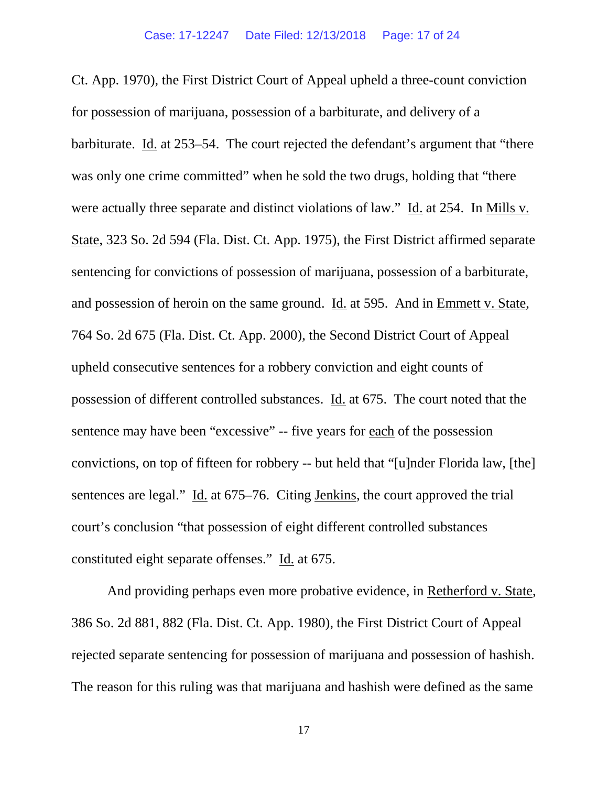Ct. App. 1970), the First District Court of Appeal upheld a three-count conviction for possession of marijuana, possession of a barbiturate, and delivery of a barbiturate. Id. at 253–54. The court rejected the defendant's argument that "there was only one crime committed" when he sold the two drugs, holding that "there" were actually three separate and distinct violations of law." Id. at 254. In Mills v. State, 323 So. 2d 594 (Fla. Dist. Ct. App. 1975), the First District affirmed separate sentencing for convictions of possession of marijuana, possession of a barbiturate, and possession of heroin on the same ground. Id. at 595. And in Emmett v. State, 764 So. 2d 675 (Fla. Dist. Ct. App. 2000), the Second District Court of Appeal upheld consecutive sentences for a robbery conviction and eight counts of possession of different controlled substances. Id. at 675. The court noted that the sentence may have been "excessive" -- five years for each of the possession convictions, on top of fifteen for robbery -- but held that "[u]nder Florida law, [the] sentences are legal." Id. at 675–76. Citing Jenkins, the court approved the trial court's conclusion "that possession of eight different controlled substances constituted eight separate offenses." Id. at 675.

And providing perhaps even more probative evidence, in Retherford v. State, 386 So. 2d 881, 882 (Fla. Dist. Ct. App. 1980), the First District Court of Appeal rejected separate sentencing for possession of marijuana and possession of hashish. The reason for this ruling was that marijuana and hashish were defined as the same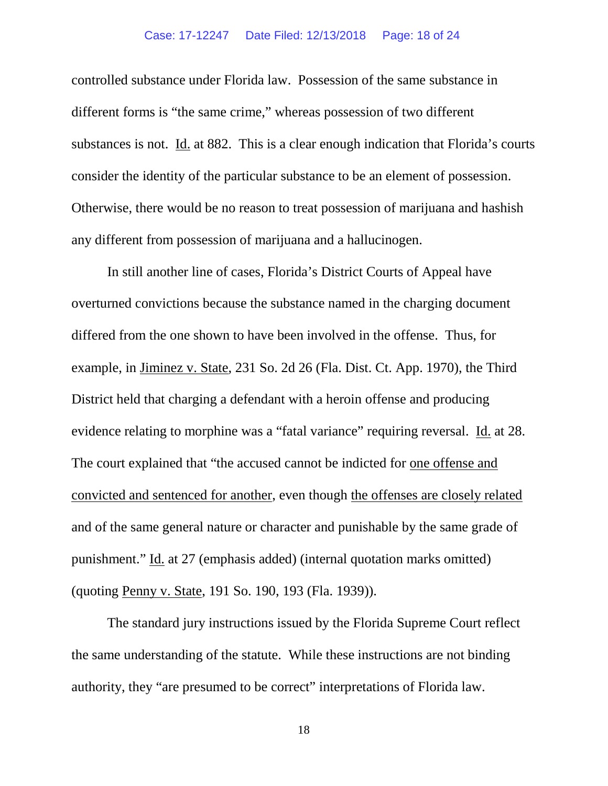# Case: 17-12247 Date Filed: 12/13/2018 Page: 18 of 24

controlled substance under Florida law. Possession of the same substance in different forms is "the same crime," whereas possession of two different substances is not. Id. at 882. This is a clear enough indication that Florida's courts consider the identity of the particular substance to be an element of possession. Otherwise, there would be no reason to treat possession of marijuana and hashish any different from possession of marijuana and a hallucinogen.

In still another line of cases, Florida's District Courts of Appeal have overturned convictions because the substance named in the charging document differed from the one shown to have been involved in the offense. Thus, for example, in Jiminez v. State, 231 So. 2d 26 (Fla. Dist. Ct. App. 1970), the Third District held that charging a defendant with a heroin offense and producing evidence relating to morphine was a "fatal variance" requiring reversal. Id. at 28. The court explained that "the accused cannot be indicted for one offense and convicted and sentenced for another, even though the offenses are closely related and of the same general nature or character and punishable by the same grade of punishment." Id. at 27 (emphasis added) (internal quotation marks omitted) (quoting Penny v. State, 191 So. 190, 193 (Fla. 1939)).

The standard jury instructions issued by the Florida Supreme Court reflect the same understanding of the statute. While these instructions are not binding authority, they "are presumed to be correct" interpretations of Florida law.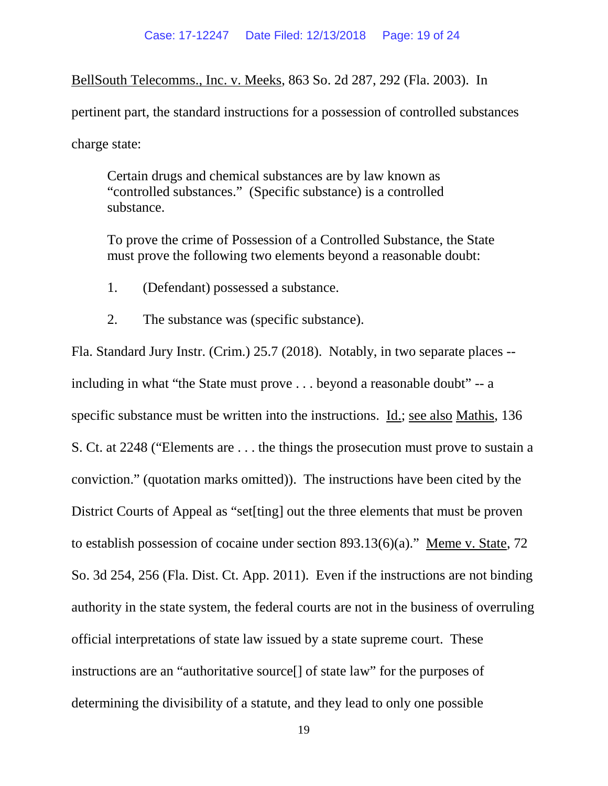BellSouth Telecomms., Inc. v. Meeks, 863 So. 2d 287, 292 (Fla. 2003). In

pertinent part, the standard instructions for a possession of controlled substances

charge state:

Certain drugs and chemical substances are by law known as "controlled substances." (Specific substance) is a controlled substance.

To prove the crime of Possession of a Controlled Substance, the State must prove the following two elements beyond a reasonable doubt:

- 1. (Defendant) possessed a substance.
- 2. The substance was (specific substance).

Fla. Standard Jury Instr. (Crim.) 25.7 (2018). Notably, in two separate places - including in what "the State must prove . . . beyond a reasonable doubt" -- a specific substance must be written into the instructions. Id.; see also Mathis, 136 S. Ct. at 2248 ("Elements are . . . the things the prosecution must prove to sustain a conviction." (quotation marks omitted)). The instructions have been cited by the District Courts of Appeal as "set[ting] out the three elements that must be proven to establish possession of cocaine under section 893.13(6)(a)." Meme v. State, 72 So. 3d 254, 256 (Fla. Dist. Ct. App. 2011). Even if the instructions are not binding authority in the state system, the federal courts are not in the business of overruling official interpretations of state law issued by a state supreme court. These instructions are an "authoritative source[] of state law" for the purposes of determining the divisibility of a statute, and they lead to only one possible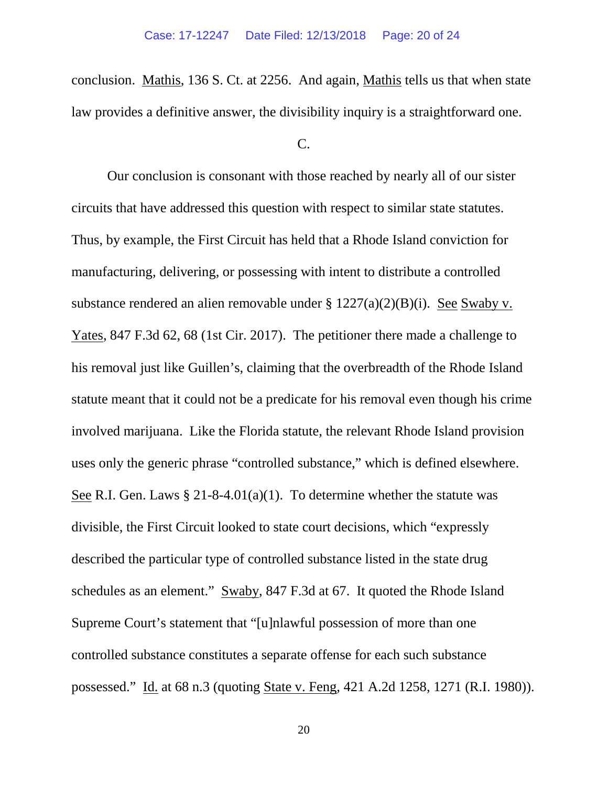conclusion. Mathis, 136 S. Ct. at 2256. And again, Mathis tells us that when state law provides a definitive answer, the divisibility inquiry is a straightforward one.

C.

Our conclusion is consonant with those reached by nearly all of our sister circuits that have addressed this question with respect to similar state statutes. Thus, by example, the First Circuit has held that a Rhode Island conviction for manufacturing, delivering, or possessing with intent to distribute a controlled substance rendered an alien removable under § 1227(a)(2)(B)(i). See Swaby v. Yates, 847 F.3d 62, 68 (1st Cir. 2017). The petitioner there made a challenge to his removal just like Guillen's, claiming that the overbreadth of the Rhode Island statute meant that it could not be a predicate for his removal even though his crime involved marijuana. Like the Florida statute, the relevant Rhode Island provision uses only the generic phrase "controlled substance," which is defined elsewhere. See R.I. Gen. Laws  $\S 21-8-4.01(a)(1)$ . To determine whether the statute was divisible, the First Circuit looked to state court decisions, which "expressly described the particular type of controlled substance listed in the state drug schedules as an element." Swaby, 847 F.3d at 67. It quoted the Rhode Island Supreme Court's statement that "[u]nlawful possession of more than one controlled substance constitutes a separate offense for each such substance possessed." Id. at 68 n.3 (quoting State v. Feng, 421 A.2d 1258, 1271 (R.I. 1980)).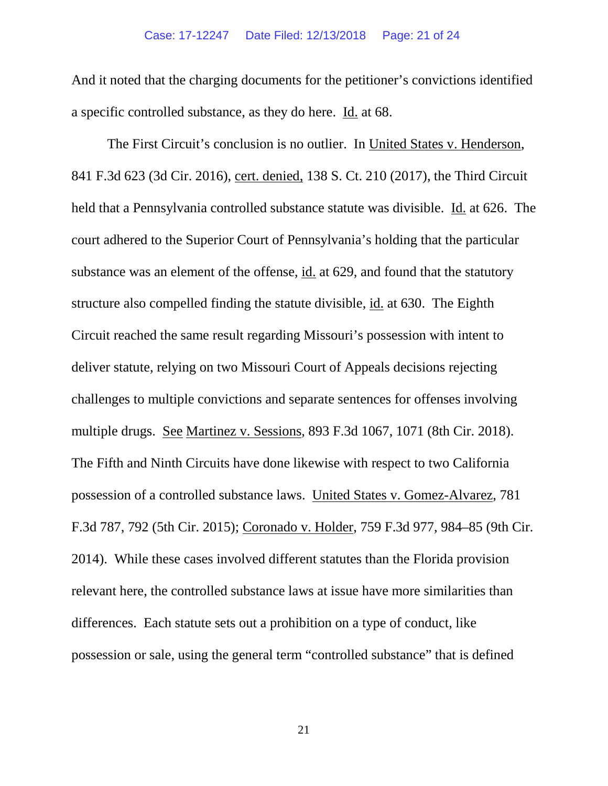# Case: 17-12247 Date Filed: 12/13/2018 Page: 21 of 24

And it noted that the charging documents for the petitioner's convictions identified a specific controlled substance, as they do here. Id. at 68.

The First Circuit's conclusion is no outlier. In United States v. Henderson, 841 F.3d 623 (3d Cir. 2016), cert. denied, 138 S. Ct. 210 (2017), the Third Circuit held that a Pennsylvania controlled substance statute was divisible. Id. at 626. The court adhered to the Superior Court of Pennsylvania's holding that the particular substance was an element of the offense, id. at 629, and found that the statutory structure also compelled finding the statute divisible, id. at 630. The Eighth Circuit reached the same result regarding Missouri's possession with intent to deliver statute, relying on two Missouri Court of Appeals decisions rejecting challenges to multiple convictions and separate sentences for offenses involving multiple drugs. See Martinez v. Sessions, 893 F.3d 1067, 1071 (8th Cir. 2018). The Fifth and Ninth Circuits have done likewise with respect to two California possession of a controlled substance laws. United States v. Gomez-Alvarez, 781 F.3d 787, 792 (5th Cir. 2015); Coronado v. Holder, 759 F.3d 977, 984–85 (9th Cir. 2014). While these cases involved different statutes than the Florida provision relevant here, the controlled substance laws at issue have more similarities than differences. Each statute sets out a prohibition on a type of conduct, like possession or sale, using the general term "controlled substance" that is defined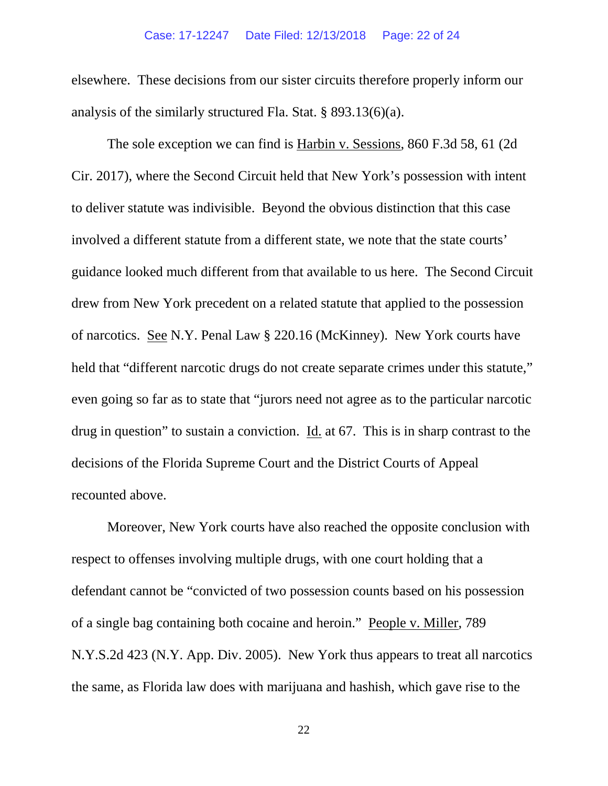# Case: 17-12247 Date Filed: 12/13/2018 Page: 22 of 24

elsewhere. These decisions from our sister circuits therefore properly inform our analysis of the similarly structured Fla. Stat. § 893.13(6)(a).

The sole exception we can find is Harbin v. Sessions, 860 F.3d 58, 61 (2d Cir. 2017), where the Second Circuit held that New York's possession with intent to deliver statute was indivisible. Beyond the obvious distinction that this case involved a different statute from a different state, we note that the state courts' guidance looked much different from that available to us here. The Second Circuit drew from New York precedent on a related statute that applied to the possession of narcotics. See N.Y. Penal Law § 220.16 (McKinney). New York courts have held that "different narcotic drugs do not create separate crimes under this statute," even going so far as to state that "jurors need not agree as to the particular narcotic drug in question" to sustain a conviction. Id. at 67. This is in sharp contrast to the decisions of the Florida Supreme Court and the District Courts of Appeal recounted above.

Moreover, New York courts have also reached the opposite conclusion with respect to offenses involving multiple drugs, with one court holding that a defendant cannot be "convicted of two possession counts based on his possession of a single bag containing both cocaine and heroin." People v. Miller, 789 N.Y.S.2d 423 (N.Y. App. Div. 2005). New York thus appears to treat all narcotics the same, as Florida law does with marijuana and hashish, which gave rise to the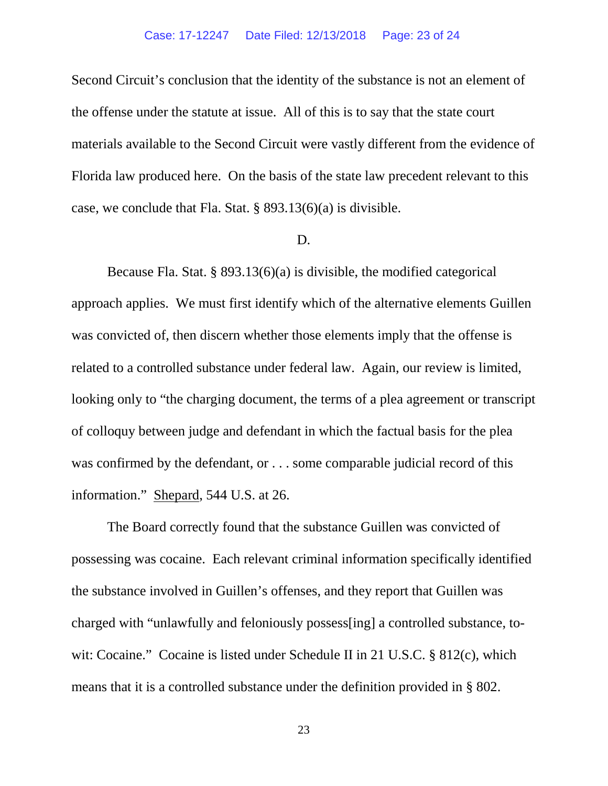Second Circuit's conclusion that the identity of the substance is not an element of the offense under the statute at issue. All of this is to say that the state court materials available to the Second Circuit were vastly different from the evidence of Florida law produced here. On the basis of the state law precedent relevant to this case, we conclude that Fla. Stat. § 893.13(6)(a) is divisible.

#### D.

Because Fla. Stat. § 893.13(6)(a) is divisible, the modified categorical approach applies. We must first identify which of the alternative elements Guillen was convicted of, then discern whether those elements imply that the offense is related to a controlled substance under federal law. Again, our review is limited, looking only to "the charging document, the terms of a plea agreement or transcript of colloquy between judge and defendant in which the factual basis for the plea was confirmed by the defendant, or . . . some comparable judicial record of this information." Shepard, 544 U.S. at 26.

The Board correctly found that the substance Guillen was convicted of possessing was cocaine. Each relevant criminal information specifically identified the substance involved in Guillen's offenses, and they report that Guillen was charged with "unlawfully and feloniously possess[ing] a controlled substance, towit: Cocaine." Cocaine is listed under Schedule II in 21 U.S.C. § 812(c), which means that it is a controlled substance under the definition provided in § 802.